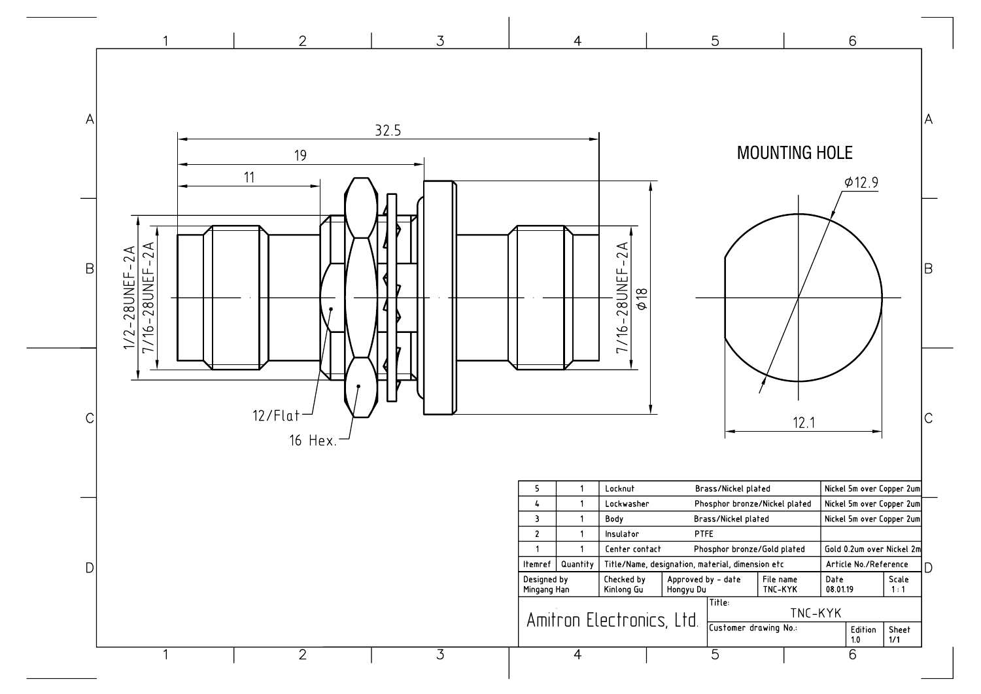